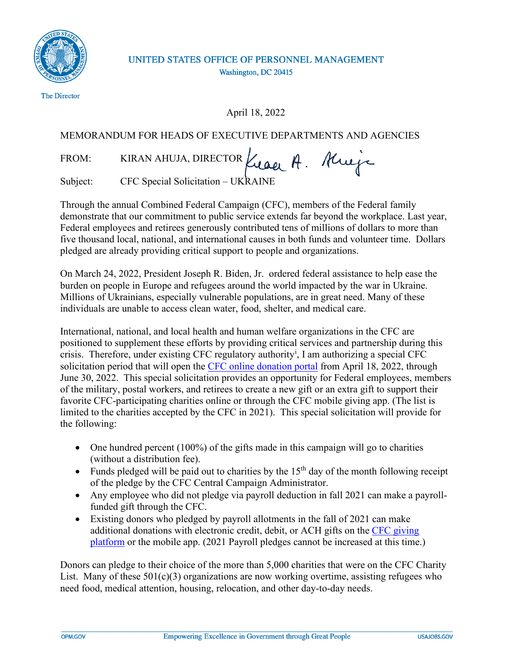

## UNITED STATES OFFICE OF PERSONNEL MANAGEMENT Washington, DC 20415

April 18, 2022

## MEMORANDUM FOR HEADS OF EXECUTIVE DEPARTMENTS AND AGENCIES

FROM: KIRAN AHUJA, DIRECTOR Kuaer A. Kueja

Subject: CFC Special Solicitation – UKRAINE

Through the annual Combined Federal Campaign (CFC), members of the Federal family demonstrate that our commitment to public service extends far beyond the workplace. Last year, Federal employees and retirees generously contributed tens of millions of dollars to more than five thousand local, national, and international causes in both funds and volunteer time. Dollars pledged are already providing critical support to people and organizations.

On March 24, 2022, President Joseph R. Biden, Jr. ordered federal assistance to help ease the burden on people in Europe and refugees around the world impacted by the war in Ukraine. Millions of Ukrainians, especially vulnerable populations, are in great need. Many of these individuals are unable to access clean water, food, shelter, and medical care.

International, national, and local health and human welfare organizations in the CFC are positioned to supplement these efforts by providing critical services and partnership during this crisis. Therefore[,](#page-1-0) under existing CFC regulatory authority<sup>i</sup>, I am authorizing a special CFC solicitation period that will open the [CFC online donation portal](https://cfcgiving.opm.gov/welcome) from April 18, 2022, through June 30, 2022. This special solicitation provides an opportunity for Federal employees, members of the military, postal workers, and retirees to create a new gift or an extra gift to support their favorite CFC-participating charities online or through the CFC mobile giving app. (The list is limited to the charities accepted by the CFC in 2021). This special solicitation will provide for the following:

- One hundred percent  $(100\%)$  of the gifts made in this campaign will go to charities (without a distribution fee).
- Funds pledged will be paid out to charities by the  $15<sup>th</sup>$  day of the month following receipt of the pledge by the CFC Central Campaign Administrator.
- Any employee who did not pledge via payroll deduction in fall 2021 can make a payrollfunded gift through the CFC.
- Existing donors who pledged by payroll allotments in the fall of 2021 can make additional donations with electronic credit, debit, or ACH gifts on the [CFC giving](https://cfcgiving.opm.gov/welcome) [platform](https://cfcgiving.opm.gov/welcome) or the mobile app. (2021 Payroll pledges cannot be increased at this time.)

Donors can pledge to their choice of the more than 5,000 charities that were on the CFC Charity List. Many of these  $501(c)(3)$  organizations are now working overtime, assisting refugees who need food, medical attention, housing, relocation, and other day-to-day needs.